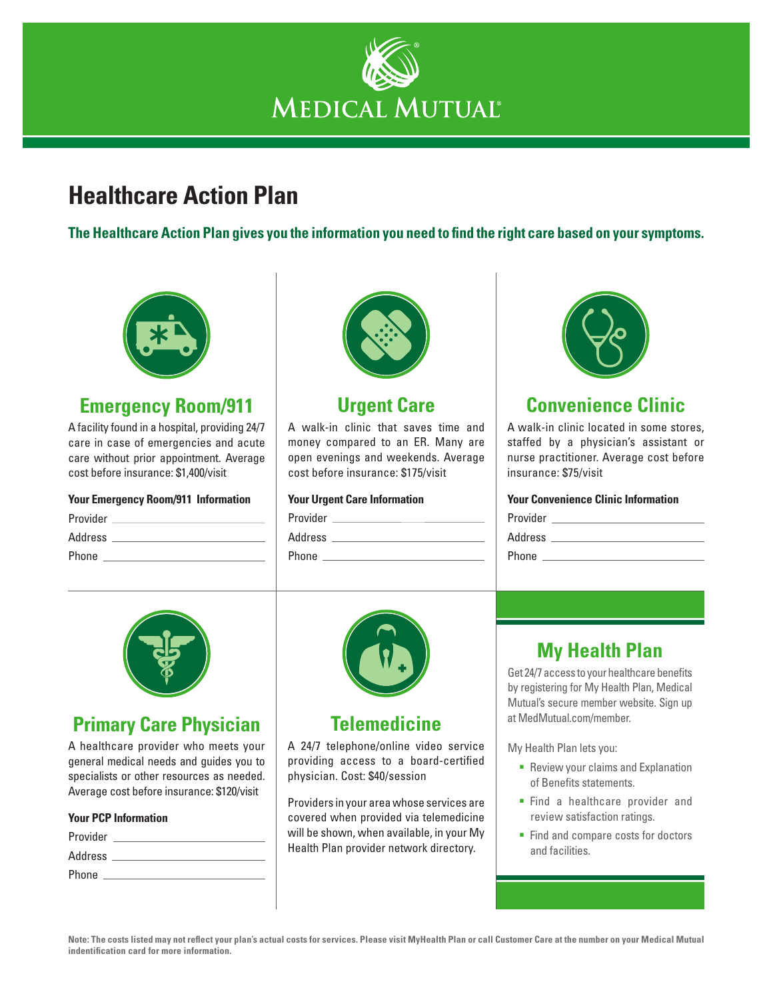

# **Healthcare Action Plan**

**The Healthcare Action Plan gives you the information you need to find the right care based on your symptoms.**



## **Emergency Room/911**

A facility found in a hospital, providing 24/7 care in case of emergencies and acute care without prior appointment. Average cost before insurance: \$1,400/visit

#### **Your Emergency Room/911 Information**

| Provider |  |
|----------|--|
|          |  |
| Address  |  |
| Phone    |  |
|          |  |



### **Urgent Care**

A walk-in clinic that saves time and money compared to an ER. Many are open evenings and weekends. Average cost before insurance: \$175/visit

#### **Your Urgent Care Information**

| Provider |  |  |
|----------|--|--|
| Address  |  |  |
| Phone    |  |  |
|          |  |  |



## **Convenience Clinic**

A walk-in clinic located in some stores, staffed by a physician's assistant or nurse practitioner. Average cost before insurance: \$75/visit

#### **Your Convenience Clinic Information**

| Provider |  |
|----------|--|
| Address  |  |
| Phone    |  |



### **Primary Care Physician**

A healthcare provider who meets your general medical needs and guides you to specialists or other resources as needed. Average cost before insurance: \$120/visit

#### **Your PCP Information**

| Provider |  |
|----------|--|
| Address  |  |
| Phone    |  |



### **Telemedicine**

A 24/7 telephone/online video service providing access to a board-certified physician. Cost: \$40/session

Providers in your area whose services are covered when provided via telemedicine will be shown, when available, in your My Health Plan provider network directory.

# **My Health Plan**

Get 24/7 access to your healthcare benefits by registering for My Health Plan, Medical Mutual's secure member website. Sign up at MedMutual.com/member.

My Health Plan lets you:

- **Review your claims and Explanation** of Benefits statements.
- **Find a healthcare provider and** review satisfaction ratings.
- Find and compare costs for doctors and facilities.

**Note: The costs listed may not reflect your plan's actual costs for services. Please visit MyHealth Plan or call Customer Care at the number on your Medical Mutual indentification card for more information.**